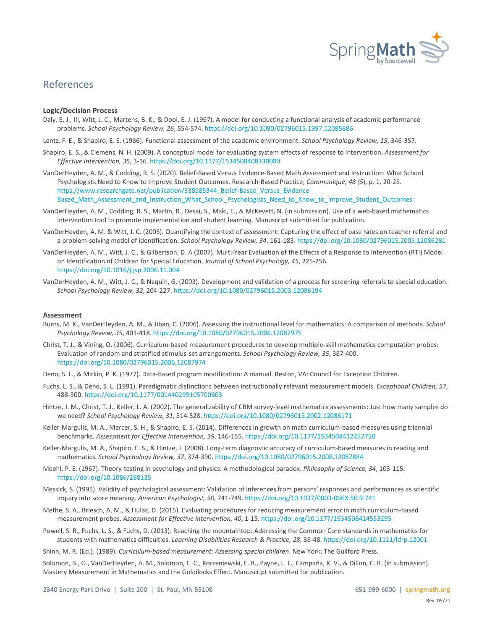

# References

#### **Logic/Decision Process**

- Daly, E. J., III, Witt, J. C., Martens, B. K., & Dool, E. J. (1997). A model for conducting a functional analysis of academic performance problems. *School Psychology Review, 26*, 554-574[. https://doi.org/10.1080/02796015.1997.12085886](https://doi.org/10.1080/02796015.1997.12085886)
- Lentz, F. E., & Shapiro, E. S. (1986). Functional assessment of the academic environment. *School Psychology Review, 15*, 346-357.
- Shapiro, E. S., & Clemens, N. H. (2009). A conceptual model for evaluating system effects of response to intervention. *Assessment for Effective Intervention, 35*, 3-16[. https://doi.org/10.1177/1534508408330080](https://doi.org/10.1177/1534508408330080)
- VanDerHeyden, A. M., & Codding, R. S. (2020). Belief-Based Versus Evidence-Based Math Assessment and Instruction: What School Psychologists Need to Know to Improve Student Outcomes. Research-Based Practice; *Communique, 48 (5*), p. 1, 20-25. [https://www.researchgate.net/publication/338585344\\_Belief-Based\\_Versus\\_Evidence-](https://www.researchgate.net/publication/338585344_Belief-Based_Versus_Evidence-Based_Math_Assessment_and_Instruction_What_School_Psychologists_Need_to_Know_to_Improve_Student_Outcomes)[Based\\_Math\\_Assessment\\_and\\_Instruction\\_What\\_School\\_Psychologists\\_Need\\_to\\_Know\\_to\\_Improve\\_Student\\_Outcomes](https://www.researchgate.net/publication/338585344_Belief-Based_Versus_Evidence-Based_Math_Assessment_and_Instruction_What_School_Psychologists_Need_to_Know_to_Improve_Student_Outcomes)
- VanDerHeyden, A. M., Codding, R. S., Martin, R., Desai, S., Maki, E., & McKevett, N. (in submission). Use of a web-based mathematics intervention tool to promote implementation and student learning. Manuscript submitted for publication.
- VanDerHeyden, A. M. & Witt, J. C. (2005). Quantifying the context of assessment: Capturing the effect of base rates on teacher referral and a problem-solving model of identification. *School Psychology Review, 34*, 161-183[. https://doi.org/10.1080/02796015.2005.12086281](https://doi.org/10.1080/02796015.2005.12086281)
- VanDerHeyden, A. M., Witt, J. C., & Gilbertson, D. A (2007). Multi-Year Evaluation of the Effects of a Response to Intervention (RTI) Model on Identification of Children for Special Education. *Journal of School Psychology, 45*, 225-256. <https://doi.org/10.1016/j.jsp.2006.11.004>
- VanDerHeyden, A. M., Witt, J. C., & Naquin, G. (2003). Development and validation of a process for screening referrals to special education. *School Psychology Review, 32*, 204-227[. https://doi.org/10.1080/02796015.2003.12086194](https://doi.org/10.1080/02796015.2003.12086194)

## **Assessment**

- Burns, M. K., VanDerHeyden, A. M., & Jiban, C. (2006). Assessing the instructional level for mathematics: A comparison of methods. *School Psychology Review, 35*, 401-418. <https://doi.org/10.1080/02796015.2006.12087975>
- Christ, T. J., & Vining, O. (2006). Curriculum-based measurement procedures to develop multiple-skill mathematics computation probes: Evaluation of random and stratified stimulus-set arrangements. *School Psychology Review, 35*, 387-400. <https://doi.org/10.1080/02796015.2006.12087974>
- Deno, S. L., & Mirkin, P. K. (1977). Data-based program modification: A manual. Reston, VA: Council for Exception Children.
- Fuchs, L. S., & Deno, S. L. (1991). Paradigmatic distinctions between instructionally relevant measurement models. *Exceptional Children, 57*, 488-500[. https://doi.org/10.1177/001440299105700603](https://doi.org/10.1177/001440299105700603)
- Hintze, J. M., Christ, T. J., Keller, L. A. (2002). The generalizability of CBM survey-level mathematics assessments: Just how many samples do we need? *School Psychology Review, 31*, 514-528[. https://doi.org/10.1080/02796015.2002.12086171](https://doi.org/10.1080/02796015.2002.12086171)
- Keller-Margulis, M. A., Mercer, S. H., & Shapiro, E. S. (2014). Differences in growth on math curriculum-based measures using triennial benchmarks. *Assessment for Effective Intervention, 39*, 146-155[. https://doi.org/10.1177/1534508412452750](https://doi.org/10.1177/1534508412452750)
- Keller-Margulis, M. A., Shapiro, E. S., & Hintze, J. (2008). Long-term diagnostic accuracy of curriculum-based measures in reading and mathematics. *School Psychology Review, 37*, 374-390[. https://doi.org/10.1080/02796015.2008.12087884](https://doi.org/10.1080/02796015.2008.12087884)
- Meehl, P. E. (1967). Theory-testing in psychology and physics: A methodological paradox. *Philosophy of Science, 34*, 103-115. <https://doi.org/10.1086/288135>
- Messick, S. (1995). Validity of psychological assessment: Validation of inferences from persons' responses and performances as scientific inquiry into score meaning. *American Psychologist, 50*, 741-749[. https://doi.org/10.1037/0003-066X.50.9.741](https://doi.org/10.1037/0003-066X.50.9.741)
- Methe, S. A., Briesch, A. M., & Hulac, D. (2015). Evaluating procedures for reducing measurement error in math curriculum-based measurement probes. *Assessment for Effective Intervention, 40*, 1-15[. https://doi.org/10.1177/1534508414553295](https://doi.org/10.1177/1534508414553295)
- Powell, S. R., Fuchs, L. S., & Fuchs, D. (2013). Reaching the mountaintop: Addressing the Common Core standards in mathematics for students with mathematics difficulties. *Learning Disabilities Research & Practice, 28*, 38-48.<https://doi.org/10.1111/ldrp.12001>
- Shinn, M. R. (Ed.). (1989). *Curriculum-based measurement: Assessing special children*. New York: The Guilford Press.

Solomon, B., G., VanDerHeyden, A. M., Solomon, E. C., Korzeniewski, E. R., Payne, L. L., Campaña, K. V., & Dillon, C. R. (in submission). Mastery Measurement in Mathematics and the Goldilocks Effect. Manuscript submitted for publication.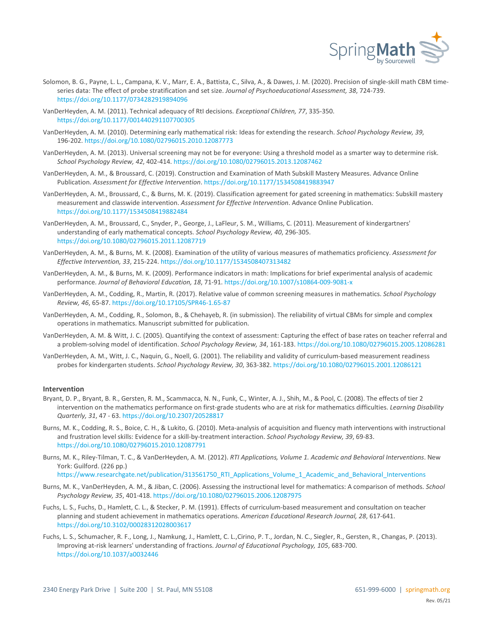

- Solomon, B. G., Payne, L. L., Campana, K. V., Marr, E. A., Battista, C., Silva, A., & Dawes, J. M. (2020). Precision of single-skill math CBM timeseries data: The effect of probe stratification and set size. *Journal of Psychoeducational Assessment, 38*, 724-739. <https://doi.org/10.1177/0734282919894096>
- VanDerHeyden, A. M. (2011). Technical adequacy of RtI decisions. *Exceptional Children, 77*, 335-350. <https://doi.org/10.1177/001440291107700305>
- VanDerHeyden, A. M. (2010). Determining early mathematical risk: Ideas for extending the research. *School Psychology Review, 39*, 196-202[. https://doi.org/10.1080/02796015.2010.12087773](https://doi.org/10.1080/02796015.2010.12087773)
- VanDerHeyden, A. M. (2013). Universal screening may not be for everyone: Using a threshold model as a smarter way to determine risk. *School Psychology Review, 42*, 402-414[. https://doi.org/10.1080/02796015.2013.12087462](https://doi.org/10.1080/02796015.2013.12087462)
- VanDerHeyden, A. M., & Broussard, C. (2019). Construction and Examination of Math Subskill Mastery Measures. Advance Online Publication. *Assessment for Effective Intervention*[. https://doi.org/10.1177/1534508419883947](https://doi.org/10.1177/1534508419883947)
- VanDerHeyden, A. M., Broussard, C., & Burns, M. K. (2019). Classification agreement for gated screening in mathematics: Subskill mastery measurement and classwide intervention. *Assessment for Effective Intervention*. Advance Online Publication. <https://doi.org/10.1177/1534508419882484>
- VanDerHeyden, A. M., Broussard, C., Snyder, P., George, J., LaFleur, S. M., Williams, C. (2011). Measurement of kindergartners' understanding of early mathematical concepts. *School Psychology Review, 40*, 296-305. <https://doi.org/10.1080/02796015.2011.12087719>
- VanDerHeyden, A. M., & Burns, M. K. (2008). Examination of the utility of various measures of mathematics proficiency. *Assessment for Effective Intervention, 33*, 215-224[. https://doi.org/10.1177/1534508407313482](https://doi.org/10.1177/1534508407313482)
- VanDerHeyden, A. M., & Burns, M. K. (2009). Performance indicators in math: Implications for brief experimental analysis of academic performance. *Journal of Behavioral Education, 18*, 71-91[. https://doi.org/10.1007/s10864-009-9081-x](https://doi.org/10.1007/s10864-009-9081-x)
- VanDerHeyden, A. M., Codding, R., Martin, R. (2017). Relative value of common screening measures in mathematics. *School Psychology Review, 46*, 65-87[. https://doi.org/10.17105/SPR46-1.65-87](https://doi.org/10.17105/SPR46-1.65-87)
- VanDerHeyden, A. M., Codding, R., Solomon, B., & Chehayeb, R. (in submission). The reliability of virtual CBMs for simple and complex operations in mathematics. Manuscript submitted for publication.
- VanDerHeyden, A. M. & Witt, J. C. (2005). Quantifying the context of assessment: Capturing the effect of base rates on teacher referral and a problem-solving model of identification. *School Psychology Review, 34*, 161-183[. https://doi.org/10.1080/02796015.2005.12086281](https://doi.org/10.1080/02796015.2005.12086281)
- VanDerHeyden, A. M., Witt, J. C., Naquin, G., Noell, G. (2001). The reliability and validity of curriculum-based measurement readiness probes for kindergarten students. *School Psychology Review, 30*, 363-382[. https://doi.org/10.1080/02796015.2001.12086121](https://doi.org/10.1080/02796015.2001.12086121)

# **Intervention**

- Bryant, D. P., Bryant, B. R., Gersten, R. M., Scammacca, N. N., Funk, C., Winter, A. J., Shih, M., & Pool, C. (2008). The effects of tier 2 intervention on the mathematics performance on first-grade students who are at risk for mathematics difficulties. *Learning Disability Quarterly, 31*, 47 - 63.<https://doi.org/10.2307/20528817>
- Burns, M. K., Codding, R. S., Boice, C. H., & Lukito, G. (2010). Meta-analysis of acquisition and fluency math interventions with instructional and frustration level skills: Evidence for a skill-by-treatment interaction. *School Psychology Review, 39*, 69-83. <https://doi.org/10.1080/02796015.2010.12087791>
- Burns, M. K., Riley-Tilman, T. C., & VanDerHeyden, A. M. (2012). *RTI Applications, Volume 1. Academic and Behavioral Interventions*. New York: Guilford. (226 pp.)

[https://www.researchgate.net/publication/313561750\\_RTI\\_Applications\\_Volume\\_1\\_Academic\\_and\\_Behavioral\\_Interventions](https://www.researchgate.net/publication/313561750_RTI_Applications_Volume_1_Academic_and_Behavioral_Interventions)

- Burns, M. K., VanDerHeyden, A. M., & Jiban, C. (2006). Assessing the instructional level for mathematics: A comparison of methods. *School Psychology Review, 35*, 401-418. <https://doi.org/10.1080/02796015.2006.12087975>
- Fuchs, L. S., Fuchs, D., Hamlett, C. L., & Stecker, P. M. (1991). Effects of curriculum-based measurement and consultation on teacher planning and student achievement in mathematics operations. *American Educational Research Journal, 28*, 617-641. <https://doi.org/10.3102/00028312028003617>
- Fuchs, L. S., Schumacher, R. F., Long, J., Namkung, J., Hamlett, C. L.,Cirino, P. T., Jordan, N. C., Siegler, R., Gersten, R., Changas, P. (2013). Improving at-risk learners' understanding of fractions. *Journal of Educational Psychology, 105*, 683-700. <https://doi.org/10.1037/a0032446>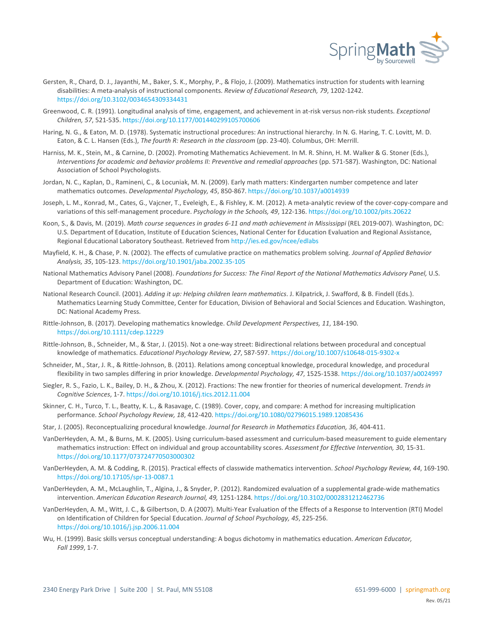

- Gersten, R., Chard, D. J., Jayanthi, M., Baker, S. K., Morphy, P., & Flojo, J. (2009). Mathematics instruction for students with learning disabilities: A meta-analysis of instructional components. *Review of Educational Research, 79*, 1202-1242. <https://doi.org/10.3102/0034654309334431>
- Greenwood, C. R. (1991). Longitudinal analysis of time, engagement, and achievement in at-risk versus non-risk students. *Exceptional Children, 57*, 521-535[. https://doi.org/10.1177/001440299105700606](https://doi.org/10.1177/001440299105700606)
- Haring, N. G., & Eaton, M. D. (1978). Systematic instructional procedures: An instructional hierarchy. In N. G. Haring, T. C. Lovitt, M. D. Eaton, & C. L. Hansen (Eds.), *The fourth R: Research in the classroom* (pp. 23-40). Columbus, OH: Merrill.
- Harniss, M. K., Stein, M., & Carnine, D. (2002). Promoting Mathematics Achievement. In M. R. Shinn, H. M. Walker & G. Stoner (Eds.), *Interventions for academic and behavior problems II: Preventive and remedial approaches* (pp. 571-587). Washington, DC: National Association of School Psychologists.
- Jordan, N. C., Kaplan, D., Ramineni, C., & Locuniak, M. N. (2009). Early math matters: Kindergarten number competence and later mathematics outcomes. *Developmental Psychology, 45*, 850-867[. https://doi.org/10.1037/a0014939](https://doi.org/10.1037/a0014939)
- Joseph, L. M., Konrad, M., Cates, G., Vajcner, T., Eveleigh, E., & Fishley, K. M. (2012). A meta-analytic review of the cover-copy-compare and variations of this self-management procedure. *Psychology in the Schools, 49*, 122-136[. https://doi.org/10.1002/pits.20622](https://doi.org/10.1002/pits.20622)
- Koon, S., & Davis, M. (2019). Math course sequences in grades 6-11 and math achievement in Mississippi (REL 2019-007). Washington, DC: U.S. Department of Education, Institute of Education Sciences, National Center for Education Evaluation and Regional Assistance, Regional Educational Laboratory Southeast. Retrieved fro[m http://ies.ed.gov/ncee/edlabs](http://ies.ed.gov/ncee/edlabs%09)
- Mayfield, K. H., & Chase, P. N. (2002). The effects of cumulative practice on mathematics problem solving. *Journal of Applied Behavior Analysis, 35*, 105-123[. https://doi.org/10.1901/jaba.2002.35-105](https://doi.org/10.1901/jaba.2002.35-105)
- National Mathematics Advisory Panel (2008). *Foundations for Success: The Final Report of the National Mathematics Advisory Panel,* U.S. Department of Education: Washington, DC.
- National Research Council. (2001). *Adding it up: Helping children learn mathematics*. J. Kilpatrick, J. Swafford, & B. Findell (Eds.). Mathematics Learning Study Committee, Center for Education, Division of Behavioral and Social Sciences and Education. Washington, DC: National Academy Press.
- Rittle-Johnson, B. (2017). Developing mathematics knowledge. *Child Development Perspectives, 11*, 184-190. <https://doi.org/10.1111/cdep.12229>
- Rittle-Johnson, B., Schneider, M., & Star, J. (2015). Not a one-way street: Bidirectional relations between procedural and conceptual knowledge of mathematics. *Educational Psychology Review, 27*, 587-597[. https://doi.org/10.1007/s10648-015-9302-x](https://doi.org/10.1007/s10648-015-9302-x)
- Schneider, M., Star, J. R., & Rittle-Johnson, B. (2011). Relations among conceptual knowledge, procedural knowledge, and procedural flexibility in two samples differing in prior knowledge. *Developmental Psychology, 47*, 1525-1538[. https://doi.org/10.1037/a0024997](https://doi.org/10.1037/a0024997)
- Siegler, R. S., Fazio, L. K., Bailey, D. H., & Zhou, X. (2012). Fractions: The new frontier for theories of numerical development. *Trends in Cognitive Sciences*, 1-7. <https://doi.org/10.1016/j.tics.2012.11.004>
- Skinner, C. H., Turco, T. L., Beatty, K. L., & Rasavage, C. (1989). Cover, copy, and compare: A method for increasing multiplication performance. *School Psychology Review, 18*, 412-420[. https://doi.org/10.1080/02796015.1989.12085436](https://doi.org/10.1080/02796015.1989.12085436)
- Star, J. (2005). Reconceptualizing procedural knowledge. *Journal for Research in Mathematics Education, 36*, 404-411.
- VanDerHeyden, A. M., & Burns, M. K. (2005). Using curriculum-based assessment and curriculum-based measurement to guide elementary mathematics instruction: Effect on individual and group accountability scores. *Assessment for Effective Intervention, 30*, 15-31. <https://doi.org/10.1177/073724770503000302>
- VanDerHeyden, A. M. & Codding, R. (2015). Practical effects of classwide mathematics intervention. *School Psychology Review, 44*, 169-190. <https://doi.org/10.17105/spr-13-0087.1>
- VanDerHeyden, A. M., McLaughlin, T., Algina, J., & Snyder, P. (2012). Randomized evaluation of a supplemental grade-wide mathematics intervention. *American Education Research Journal, 49,* 1251-1284[. https://doi.org/10.3102/0002831212462736](https://doi.org/10.3102/0002831212462736)
- VanDerHeyden, A. M., Witt, J. C., & Gilbertson, D. A (2007). Multi-Year Evaluation of the Effects of a Response to Intervention (RTI) Model on Identification of Children for Special Education. *Journal of School Psychology, 45*, 225-256. <https://doi.org/10.1016/j.jsp.2006.11.004>
- Wu, H. (1999). Basic skills versus conceptual understanding: A bogus dichotomy in mathematics education. *American Educator, Fall 1999*, 1-7.